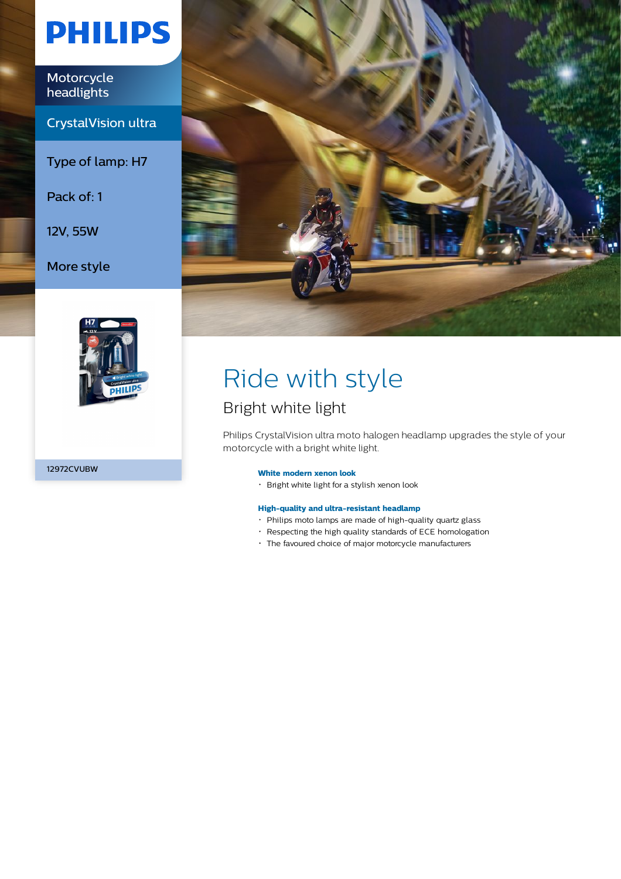# **PHILIPS**

Motorcycle headlights

CrystalVision ultra

Type of lamp: H7

Pack of: 1

12V, 55W

More style



12972CVUBW



# Ride with style

### Bright white light

Philips CrystalVision ultra moto halogen headlamp upgrades the style of your motorcycle with a bright white light.

### **White modern xenon look**

Bright white light for a stylish xenon look

### **High-quality and ultra-resistant headlamp**

- Philips moto lamps are made of high-quality quartz glass
- Respecting the high quality standards of ECE homologation
- The favoured choice of major motorcycle manufacturers